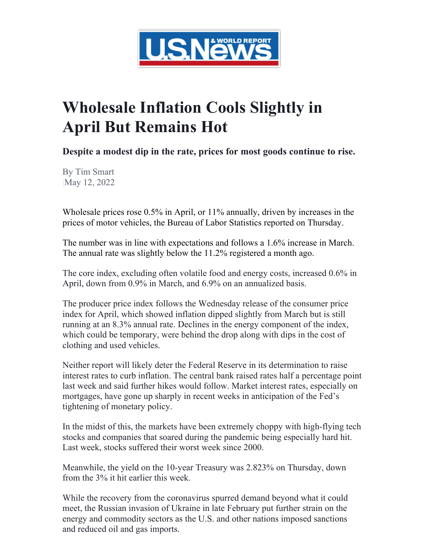

## **Wholesale Inflation Cools Slightly in April But Remains Hot**

**Despite a modest dip in the rate, prices for most goods continue to rise.**

By Tim Smart |May 12, 2022

Wholesale prices rose 0.5% in April, or 11% annually, driven by increases in the prices of motor vehicles, the Bureau of Labor Statistics reported on Thursday.

The number was in line with expectations and follows a 1.6% increase in March. The annual rate was slightly below the 11.2% registered a month ago.

The core index, excluding often volatile food and energy costs, increased 0.6% in April, down from 0.9% in March, and 6.9% on an annualized basis.

The producer price index follows the Wednesday release of the consumer price index for April, which showed inflation dipped slightly from March but is still running at an 8.3% annual rate. Declines in the energy component of the index, which could be temporary, were behind the drop along with dips in the cost of clothing and used vehicles.

Neither report will likely deter the Federal Reserve in its determination to raise interest rates to curb inflation. The central bank raised rates half a percentage point last week and said further hikes would follow. Market interest rates, especially on mortgages, have gone up sharply in recent weeks in anticipation of the Fed's tightening of monetary policy.

In the midst of this, the markets have been extremely choppy with high-flying tech stocks and companies that soared during the pandemic being especially hard hit. Last week, stocks suffered their worst week since 2000.

Meanwhile, the yield on the 10-year Treasury was 2.823% on Thursday, down from the 3% it hit earlier this week.

While the recovery from the coronavirus spurred demand beyond what it could meet, the Russian invasion of Ukraine in late February put further strain on the energy and commodity sectors as the U.S. and other nations imposed sanctions and reduced oil and gas imports.